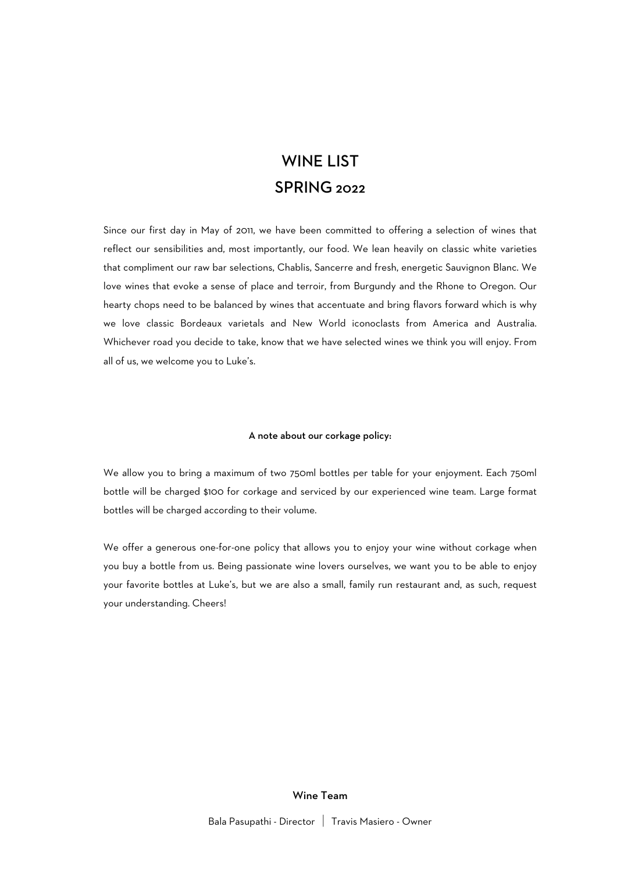## WINE LIST SPRING 2022

Since our first day in May of 2011, we have been committed to offering a selection of wines that reflect our sensibilities and, most importantly, our food. We lean heavily on classic white varieties that compliment our raw bar selections, Chablis, Sancerre and fresh, energetic Sauvignon Blanc. We love wines that evoke a sense of place and terroir, from Burgundy and the Rhone to Oregon. Our hearty chops need to be balanced by wines that accentuate and bring flavors forward which is why we love classic Bordeaux varietals and New World iconoclasts from America and Australia. Whichever road you decide to take, know that we have selected wines we think you will enjoy. From all of us, we welcome you to Luke's.

#### A note about our corkage policy:

We allow you to bring a maximum of two 750ml bottles per table for your enjoyment. Each 750ml bottle will be charged \$100 for corkage and serviced by our experienced wine team. Large format bottles will be charged according to their volume.

We offer a generous one-for-one policy that allows you to enjoy your wine without corkage when you buy a bottle from us. Being passionate wine lovers ourselves, we want you to be able to enjoy your favorite bottles at Luke's, but we are also a small, family run restaurant and, as such, request your understanding. Cheers!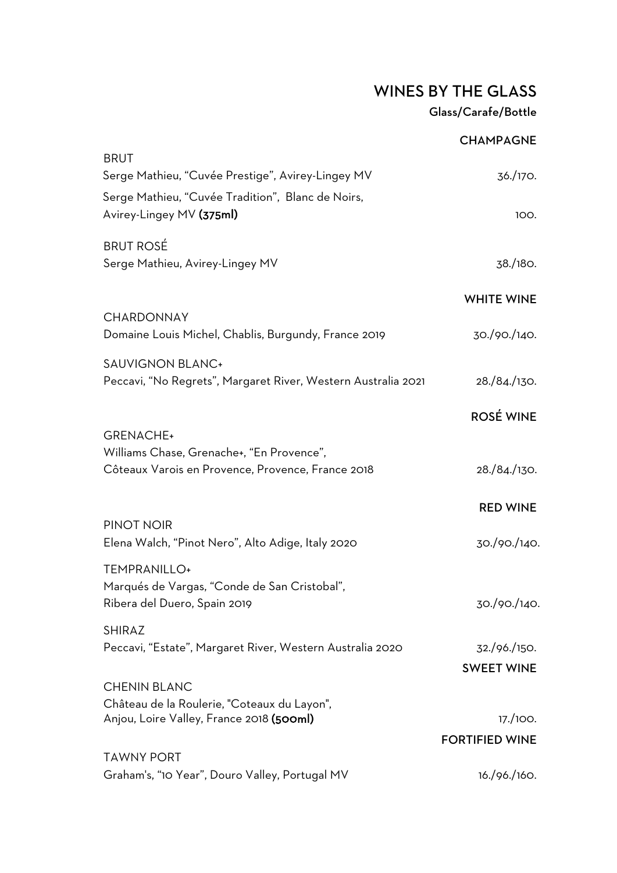## WINES BY THE GLASS Glass/Carafe/Bottle

|                                                                                          | <b>CHAMPAGNE</b>                  |
|------------------------------------------------------------------------------------------|-----------------------------------|
| <b>BRUT</b><br>Serge Mathieu, "Cuvée Prestige", Avirey-Lingey MV                         | 36./170.                          |
| Serge Mathieu, "Cuvée Tradition", Blanc de Noirs,<br>Avirey-Lingey MV (375ml)            | 100.                              |
| <b>BRUT ROSÉ</b><br>Serge Mathieu, Avirey-Lingey MV                                      | 38./180.                          |
|                                                                                          | <b>WHITE WINE</b>                 |
| <b>CHARDONNAY</b><br>Domaine Louis Michel, Chablis, Burgundy, France 2019                | 30./90./140.                      |
| <b>SAUVIGNON BLANC+</b><br>Peccavi, "No Regrets", Margaret River, Western Australia 2021 | 28./84./130.                      |
|                                                                                          | <b>ROSÉ WINE</b>                  |
| <b>GRENACHE+</b><br>Williams Chase, Grenache+, "En Provence",                            |                                   |
| Côteaux Varois en Provence, Provence, France 2018                                        | 28./84./130.                      |
|                                                                                          | <b>RED WINE</b>                   |
| PINOT NOIR<br>Elena Walch, "Pinot Nero", Alto Adige, Italy 2020                          | 30./90./140.                      |
| TEMPRANILLO+                                                                             |                                   |
| Marqués de Vargas, "Conde de San Cristobal",<br>Ribera del Duero, Spain 2019             | 30./90./140.                      |
| <b>SHIRAZ</b><br>Peccavi, "Estate", Margaret River, Western Australia 2020               | 32./96./150.                      |
| <b>CHENIN BLANC</b>                                                                      | <b>SWEET WINE</b>                 |
| Château de la Roulerie, "Coteaux du Layon",                                              |                                   |
| Anjou, Loire Valley, France 2018 (500ml)                                                 | 17./100.<br><b>FORTIFIED WINE</b> |
| <b>TAWNY PORT</b>                                                                        |                                   |
| Graham's, "10 Year", Douro Valley, Portugal MV                                           | 16./96./160.                      |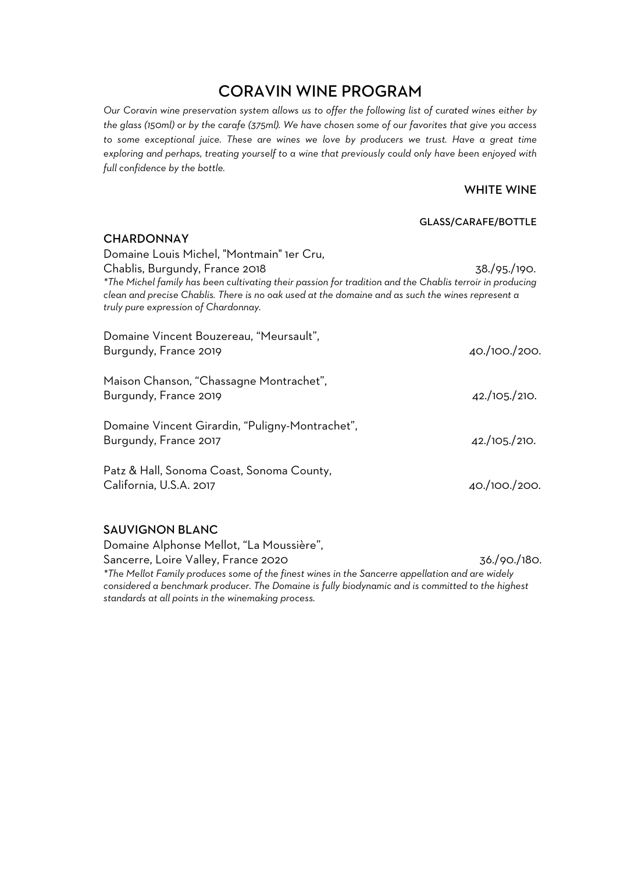## CORAVIN WINE PROGRAM

*Our Coravin wine preservation system allows us to offer the following list of curated wines either by the glass (150ml) or by the carafe (375ml). We have chosen some of our favorites that give you access to some exceptional juice. These are wines we love by producers we trust. Have a great time exploring and perhaps, treating yourself to a wine that previously could only have been enjoyed with full confidence by the bottle.*

#### WHITE WINE

#### GLASS/CARAFE/BOTTLE

| <b>CHARDONNAY</b>                                                                                                                                                                                                                                    |               |
|------------------------------------------------------------------------------------------------------------------------------------------------------------------------------------------------------------------------------------------------------|---------------|
| Domaine Louis Michel, "Montmain" 1er Cru,                                                                                                                                                                                                            |               |
| Chablis, Burgundy, France 2018                                                                                                                                                                                                                       | 38./95./190.  |
| *The Michel family has been cultivating their passion for tradition and the Chablis terroir in producing<br>clean and precise Chablis. There is no oak used at the domaine and as such the wines represent a<br>truly pure expression of Chardonnay. |               |
| Domaine Vincent Bouzereau, "Meursault",                                                                                                                                                                                                              |               |
| Burgundy, France 2019                                                                                                                                                                                                                                | 40./100./200. |
| Maison Chanson, "Chassagne Montrachet",                                                                                                                                                                                                              |               |
| Burgundy, France 2019                                                                                                                                                                                                                                | 42./105./210. |
| Domaine Vincent Girardin, "Puligny-Montrachet",                                                                                                                                                                                                      |               |
| Burgundy, France 2017                                                                                                                                                                                                                                | 42./105./210. |
| Patz & Hall, Sonoma Coast, Sonoma County,                                                                                                                                                                                                            |               |
| California, U.S.A. 2017                                                                                                                                                                                                                              | 40./100./200. |
|                                                                                                                                                                                                                                                      |               |

#### SAUVIGNON BLANC

Domaine Alphonse Mellot, "La Moussière", Sancerre, Loire Valley, France 2020 36./90./180. *\*The Mellot Family produces some of the finest wines in the Sancerre appellation and are widely considered a benchmark producer. The Domaine is fully biodynamic and is committed to the highest standards at all points in the winemaking process.*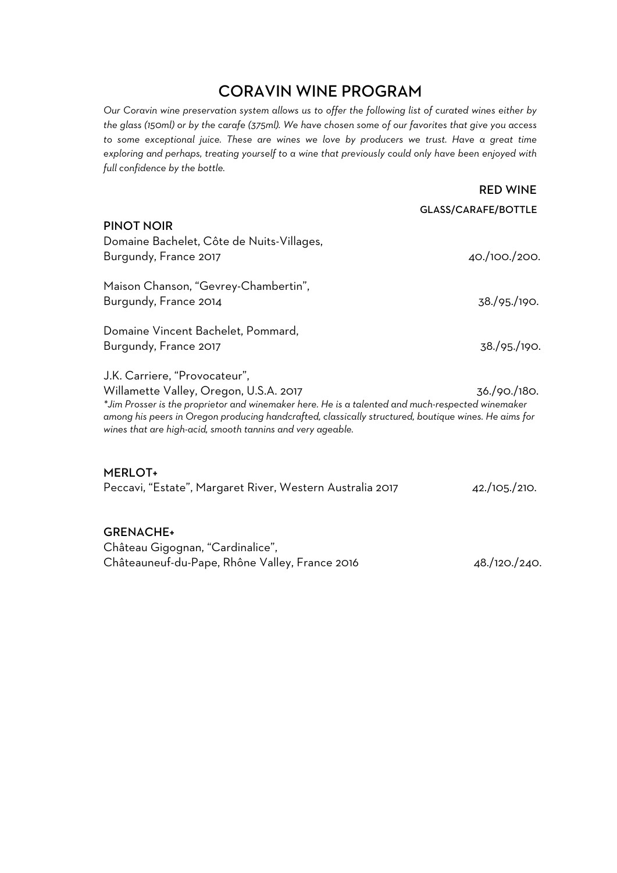## CORAVIN WINE PROGRAM

*Our Coravin wine preservation system allows us to offer the following list of curated wines either by the glass (150ml) or by the carafe (375ml). We have chosen some of our favorites that give you access to some exceptional juice. These are wines we love by producers we trust. Have a great time exploring and perhaps, treating yourself to a wine that previously could only have been enjoyed with full confidence by the bottle.*

|                                                                                                                                                                                                                                                                        | <b>GLASS/CARAFE/BOTTLE</b> |
|------------------------------------------------------------------------------------------------------------------------------------------------------------------------------------------------------------------------------------------------------------------------|----------------------------|
| <b>PINOT NOIR</b>                                                                                                                                                                                                                                                      |                            |
| Domaine Bachelet, Côte de Nuits-Villages,                                                                                                                                                                                                                              |                            |
| Burgundy, France 2017                                                                                                                                                                                                                                                  | 40./100./200.              |
| Maison Chanson, "Gevrey-Chambertin",                                                                                                                                                                                                                                   |                            |
| Burgundy, France 2014                                                                                                                                                                                                                                                  | 38./95./190.               |
| Domaine Vincent Bachelet, Pommard,                                                                                                                                                                                                                                     |                            |
| Burgundy, France 2017                                                                                                                                                                                                                                                  | 38./95./190.               |
| J.K. Carriere, "Provocateur",                                                                                                                                                                                                                                          |                            |
| Willamette Valley, Oregon, U.S.A. 2017                                                                                                                                                                                                                                 | 36./90./180.               |
| *Jim Prosser is the proprietor and winemaker here. He is a talented and much-respected winemaker<br>among his peers in Oregon producing handcrafted, classically structured, boutique wines. He aims for<br>wines that are high-acid, smooth tannins and very ageable. |                            |
| <b>MERLOT+</b>                                                                                                                                                                                                                                                         |                            |
| Peccavi, "Estate", Margaret River, Western Australia 2017                                                                                                                                                                                                              | 42./105./210.              |

GRENACHE+ Château Gigognan, "Cardinalice", Châteauneuf-du-Pape, Rhône Valley, France 2016 48./120./240.

RED WINE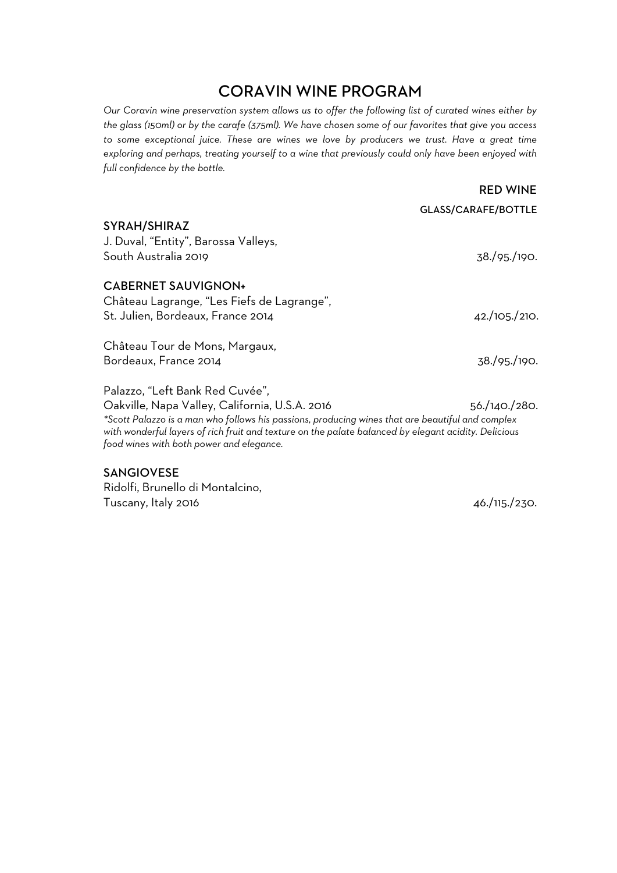## CORAVIN WINE PROGRAM

*Our Coravin wine preservation system allows us to offer the following list of curated wines either by the glass (150ml) or by the carafe (375ml). We have chosen some of our favorites that give you access to some exceptional juice. These are wines we love by producers we trust. Have a great time exploring and perhaps, treating yourself to a wine that previously could only have been enjoyed with full confidence by the bottle.*

|                                                                                                                                                                                                                                                                                                                                           | <b>RED WINE</b>            |
|-------------------------------------------------------------------------------------------------------------------------------------------------------------------------------------------------------------------------------------------------------------------------------------------------------------------------------------------|----------------------------|
|                                                                                                                                                                                                                                                                                                                                           | <b>GLASS/CARAFE/BOTTLE</b> |
| SYRAH/SHIRAZ<br>J. Duval, "Entity", Barossa Valleys,<br>South Australia 2019                                                                                                                                                                                                                                                              | 38./95./190.               |
| <b>CABERNET SAUVIGNON+</b><br>Château Lagrange, "Les Fiefs de Lagrange",<br>St. Julien, Bordeaux, France 2014                                                                                                                                                                                                                             | 42./105./210.              |
| Château Tour de Mons, Margaux,<br>Bordeaux, France 2014                                                                                                                                                                                                                                                                                   | 38./95./190.               |
| Palazzo, "Left Bank Red Cuvée",<br>Oakville, Napa Valley, California, U.S.A. 2016<br>*Scott Palazzo is a man who follows his passions, producing wines that are beautiful and complex<br>with wonderful layers of rich fruit and texture on the palate balanced by elegant acidity. Delicious<br>food wines with both power and elegance. | 56./140./280.              |

#### SANGIOVESE

Ridolfi, Brunello di Montalcino, Tuscany, Italy 2016 **46./115./230.**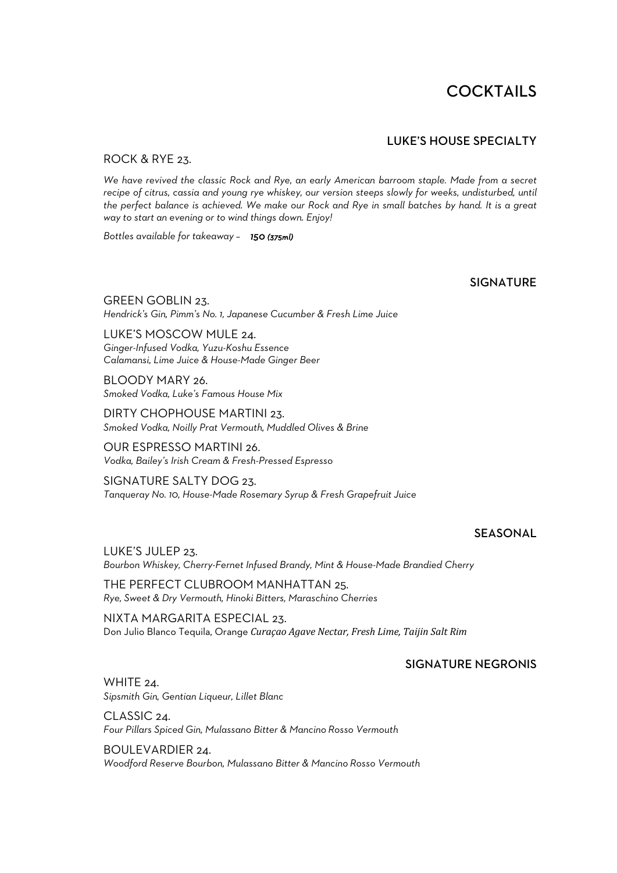## **COCKTAILS**

#### LUKE'S HOUSE SPECIALTY

#### ROCK & RYE 23.

*We have revived the classic Rock and Rye, an early American barroom staple. Made from a secret recipe of citrus, cassia and young rye whiskey, our version steeps slowly for weeks, undisturbed, until the perfect balance is achieved. We make our Rock and Rye in small batches by hand. It is a great way to start an evening or to wind things down. Enjoy!*

*Bottles available for takeaway – 150 (375ml)* 

#### SIGNATURE

GREEN GOBLIN 23. *Hendrick's Gin, Pimm's No. 1, Japanese Cucumber & Fresh Lime Juice*

LUKE'S MOSCOW MULE 24. *Ginger-Infused Vodka, Yuzu-Koshu Essence Calamansi, Lime Juice & House-Made Ginger Beer*

BLOODY MARY 26. *Smoked Vodka, Luke's Famous House Mix*

DIRTY CHOPHOUSE MARTINI 23. *Smoked Vodka, Noilly Prat Vermouth, Muddled Olives & Brine*

OUR ESPRESSO MARTINI 26. *Vodka, Bailey's Irish Cream & Fresh-Pressed Espresso*

SIGNATURE SALTY DOG 23. *Tanqueray No. 10, House-Made Rosemary Syrup & Fresh Grapefruit Juice*

#### **SEASONAL**

LUKE'S JULEP 23. *Bourbon Whiskey, Cherry-Fernet Infused Brandy, Mint & House-Made Brandied Cherry*

THE PERFECT CLUBROOM MANHATTAN 25. *Rye, Sweet & Dry Vermouth, Hinoki Bitters, Maraschino Cherries*

NIXTA MARGARITA ESPECIAL 23. Don Julio Blanco Tequila, Orange *Curaçao Agave Nectar, Fresh Lime, Taijin Salt Rim* 

#### SIGNATURE NEGRONIS

WHITE 24. *Sipsmith Gin, Gentian Liqueur, Lillet Blanc*

CLASSIC 24. *Four Pillars Spiced Gin, Mulassano Bitter & Mancino Rosso Vermouth*

BOULEVARDIER 24. *Woodford Reserve Bourbon, Mulassano Bitter & Mancino Rosso Vermouth*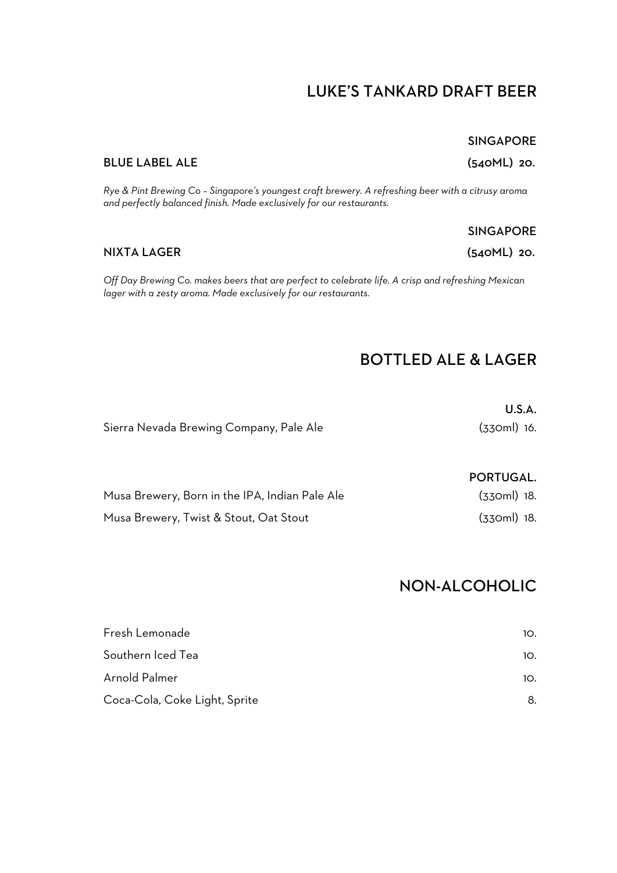## LUKE'S TANKARD DRAFT BEER

#### BLUE LABEL ALE (540ML) 20.

*Rye & Pint Brewing Co – Singapore's youngest craft brewery. A refreshing beer with a citrusy aroma and perfectly balanced finish. Made exclusively for our restaurants.* 

*Off Day Brewing Co. makes beers that are perfect to celebrate life. A crisp and refreshing Mexican lager with a zesty aroma. Made exclusively for our restaurants.*

## BOTTLED ALE & LAGER

|                                         | U.S.A.        |
|-----------------------------------------|---------------|
| Sierra Nevada Brewing Company, Pale Ale | $(330ml)$ 16. |

#### PORTUGAL.

| Musa Brewery, Born in the IPA, Indian Pale Ale | (330ml) 18. |  |
|------------------------------------------------|-------------|--|
| Musa Brewery, Twist & Stout, Oat Stout         | (330ml) 18. |  |

## NON-ALCOHOLIC

| Fresh Lemonade                | 10. |
|-------------------------------|-----|
| Southern Iced Tea             | 10. |
| Arnold Palmer                 | 10. |
| Coca-Cola, Coke Light, Sprite | 8.  |

#### SINGAPORE

NIXTA LAGER (540ML) 20.

SINGAPORE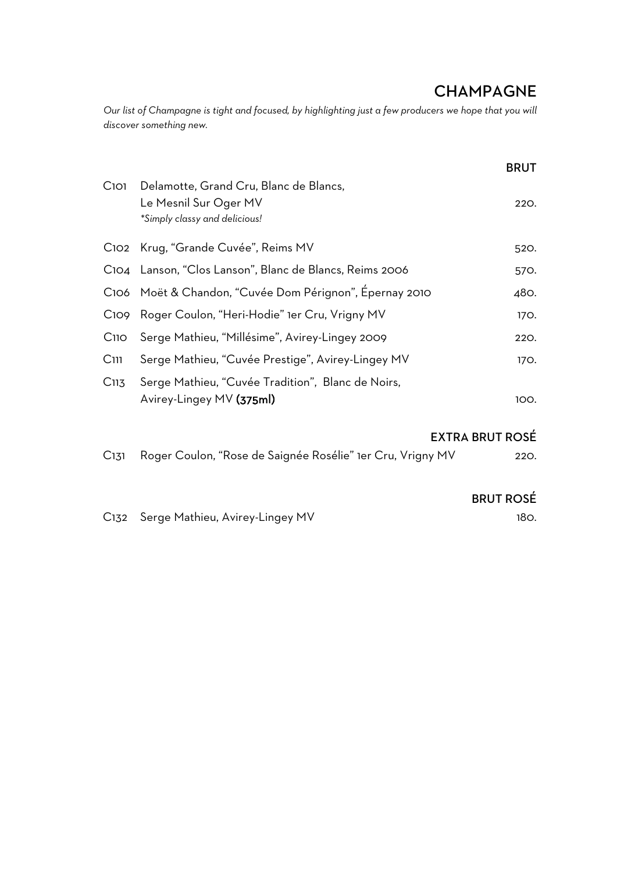## **CHAMPAGNE**

*Our list of Champagne is tight and focused, by highlighting just a few producers we hope that you will discover something new.* 

|                  |                                                                 | <b>BRUT</b> |
|------------------|-----------------------------------------------------------------|-------------|
| Cioi             | Delamotte, Grand Cru, Blanc de Blancs,<br>Le Mesnil Sur Oger MV | 220.        |
|                  | *Simply classy and delicious!                                   |             |
|                  | C102 Krug, "Grande Cuvée", Reims MV                             | 520.        |
|                  | C104 Lanson, "Clos Lanson", Blanc de Blancs, Reims 2006         | 570.        |
|                  | C106 Moët & Chandon, "Cuvée Dom Pérignon", Épernay 2010         | 480.        |
|                  | C109 Roger Coulon, "Heri-Hodie" 1er Cru, Vrigny MV              | 170.        |
| $C$ 110          | Serge Mathieu, "Millésime", Avirey-Lingey 2009                  | 220.        |
| C <sub>111</sub> | Serge Mathieu, "Cuvée Prestige", Avirey-Lingey MV               | 170.        |
| C <sub>113</sub> | Serge Mathieu, "Cuvée Tradition", Blanc de Noirs,               |             |
|                  | Avirey-Lingey MV (375ml)                                        | 100.        |

#### EXTRA BRUT ROSÉ

| C131 Roger Coulon, "Rose de Saignée Rosélie" 1er Cru, Vrigny MV | 220. |
|-----------------------------------------------------------------|------|
|                                                                 |      |

#### BRUT ROSÉ

C132 Serge Mathieu, Avirey-Lingey MV 180.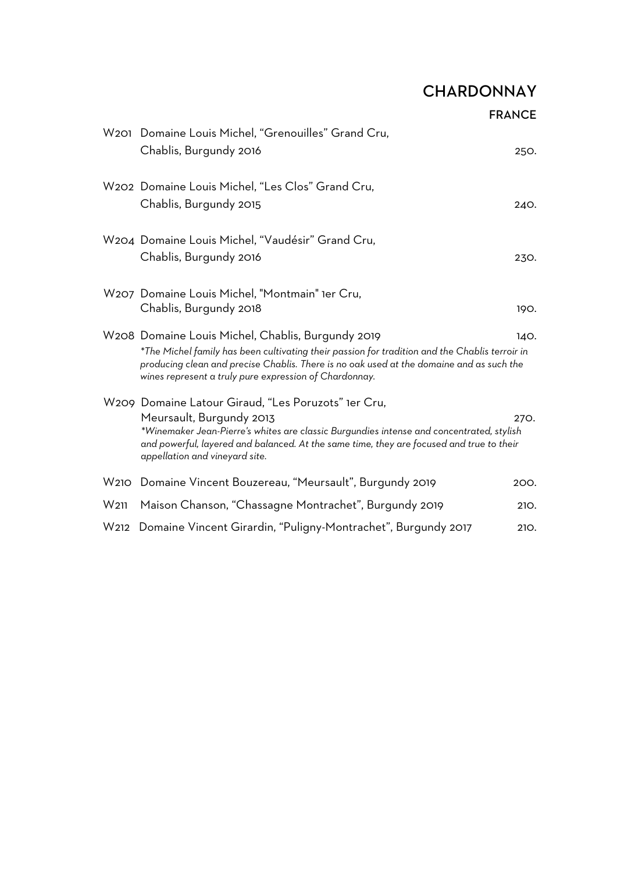# **CHARDONNAY**

FRANCE

|                  | W201 Domaine Louis Michel, "Grenouilles" Grand Cru,<br>Chablis, Burgundy 2016                                                                                                                                                                                                                             | 250. |
|------------------|-----------------------------------------------------------------------------------------------------------------------------------------------------------------------------------------------------------------------------------------------------------------------------------------------------------|------|
|                  | W202 Domaine Louis Michel, "Les Clos" Grand Cru,<br>Chablis, Burgundy 2015                                                                                                                                                                                                                                | 240. |
|                  | W204 Domaine Louis Michel, "Vaudésir" Grand Cru,<br>Chablis, Burgundy 2016                                                                                                                                                                                                                                | 230. |
|                  | W207 Domaine Louis Michel, "Montmain" 1er Cru,<br>Chablis, Burgundy 2018                                                                                                                                                                                                                                  | 190. |
|                  | W208 Domaine Louis Michel, Chablis, Burgundy 2019<br>*The Michel family has been cultivating their passion for tradition and the Chablis terroir in<br>producing clean and precise Chablis. There is no oak used at the domaine and as such the<br>wines represent a truly pure expression of Chardonnay. | 140. |
|                  | W209 Domaine Latour Giraud, "Les Poruzots" 1er Cru,<br>Meursault, Burgundy 2013<br>*Winemaker Jean-Pierre's whites are classic Burgundies intense and concentrated, stylish<br>and powerful, layered and balanced. At the same time, they are focused and true to their<br>appellation and vineyard site. | 270. |
|                  | W210 Domaine Vincent Bouzereau, "Meursault", Burgundy 2019                                                                                                                                                                                                                                                | 200. |
| W <sub>211</sub> | Maison Chanson, "Chassagne Montrachet", Burgundy 2019                                                                                                                                                                                                                                                     | 210. |
| W212             | Domaine Vincent Girardin, "Puligny-Montrachet", Burgundy 2017                                                                                                                                                                                                                                             | 210. |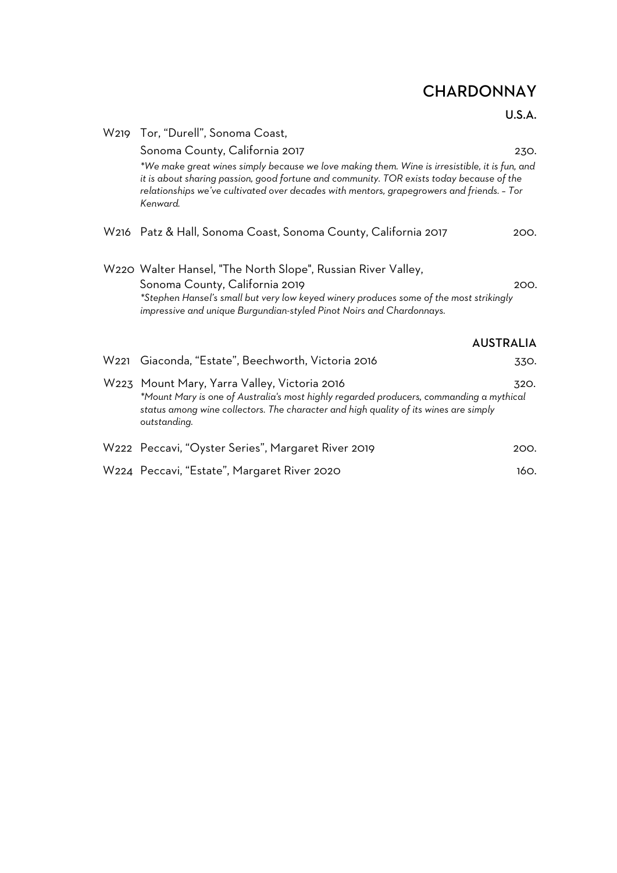# **CHARDONNAY**

#### U.S.A.

|      | W219 Tor, "Durell", Sonoma Coast,                                                                                                                                                                                                                                                                  |                  |
|------|----------------------------------------------------------------------------------------------------------------------------------------------------------------------------------------------------------------------------------------------------------------------------------------------------|------------------|
|      | Sonoma County, California 2017                                                                                                                                                                                                                                                                     | 230.             |
|      | *We make great wines simply because we love making them. Wine is irresistible, it is fun, and<br>it is about sharing passion, good fortune and community. TOR exists today because of the<br>relationships we've cultivated over decades with mentors, grapegrowers and friends. - Tor<br>Kenward. |                  |
|      | W216 Patz & Hall, Sonoma Coast, Sonoma County, California 2017                                                                                                                                                                                                                                     | 200.             |
|      | W220 Walter Hansel, "The North Slope", Russian River Valley,<br>Sonoma County, California 2019<br>*Stephen Hansel's small but very low keyed winery produces some of the most strikingly<br>impressive and unique Burgundian-styled Pinot Noirs and Chardonnays.                                   | 200.             |
|      |                                                                                                                                                                                                                                                                                                    | <b>AUSTRALIA</b> |
| W221 | Giaconda, "Estate", Beechworth, Victoria 2016                                                                                                                                                                                                                                                      | 330.             |
|      | W223 Mount Mary, Yarra Valley, Victoria 2016<br>*Mount Mary is one of Australia's most highly regarded producers, commanding a mythical<br>status among wine collectors. The character and high quality of its wines are simply<br>outstanding.                                                    | 320.             |
|      | W222 Peccavi, "Oyster Series", Margaret River 2019                                                                                                                                                                                                                                                 | 200.             |
|      | W224 Peccavi, "Estate", Margaret River 2020                                                                                                                                                                                                                                                        | 160.             |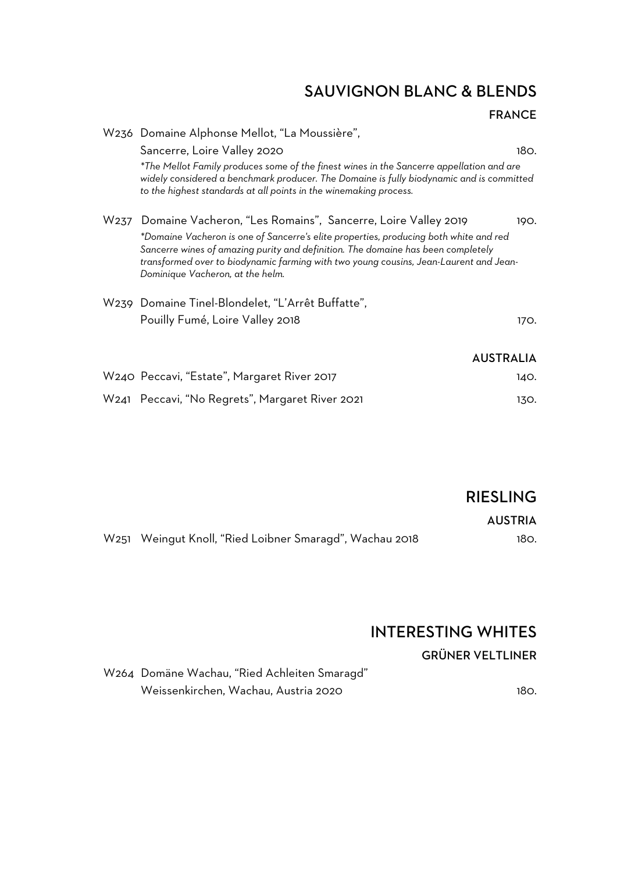## SAUVIGNON BLANC & BLENDS

| W236 Domaine Alphonse Mellot, "La Moussière",                                                                                                                                                                                                                                                          |                  |
|--------------------------------------------------------------------------------------------------------------------------------------------------------------------------------------------------------------------------------------------------------------------------------------------------------|------------------|
| Sancerre, Loire Valley 2020                                                                                                                                                                                                                                                                            | 180.             |
| *The Mellot Family produces some of the finest wines in the Sancerre appellation and are<br>widely considered a benchmark producer. The Domaine is fully biodynamic and is committed<br>to the highest standards at all points in the winemaking process.                                              |                  |
| W237 Domaine Vacheron, "Les Romains", Sancerre, Loire Valley 2019                                                                                                                                                                                                                                      | 190.             |
| *Domaine Vacheron is one of Sancerre's elite properties, producing both white and red<br>Sancerre wines of amazing purity and definition. The domaine has been completely<br>transformed over to biodynamic farming with two young cousins, Jean-Laurent and Jean-<br>Dominique Vacheron, at the helm. |                  |
| W239 Domaine Tinel-Blondelet, "L'Arrêt Buffatte",                                                                                                                                                                                                                                                      |                  |
| Pouilly Fumé, Loire Valley 2018                                                                                                                                                                                                                                                                        | 170.             |
|                                                                                                                                                                                                                                                                                                        | <b>AUSTRALIA</b> |
| W240 Peccavi, "Estate", Margaret River 2017                                                                                                                                                                                                                                                            | 140.             |
| W241 Peccavi, "No Regrets", Margaret River 2021                                                                                                                                                                                                                                                        | 130.             |

RIESLING

AUSTRIA

W251 Weingut Knoll, "Ried Loibner Smaragd", Wachau 2018 180.

## INTERESTING WHITES

#### GRÜNER VELTLINER

W264 Domäne Wachau, "Ried Achleiten Smaragd" Weissenkirchen, Wachau, Austria 2020 180.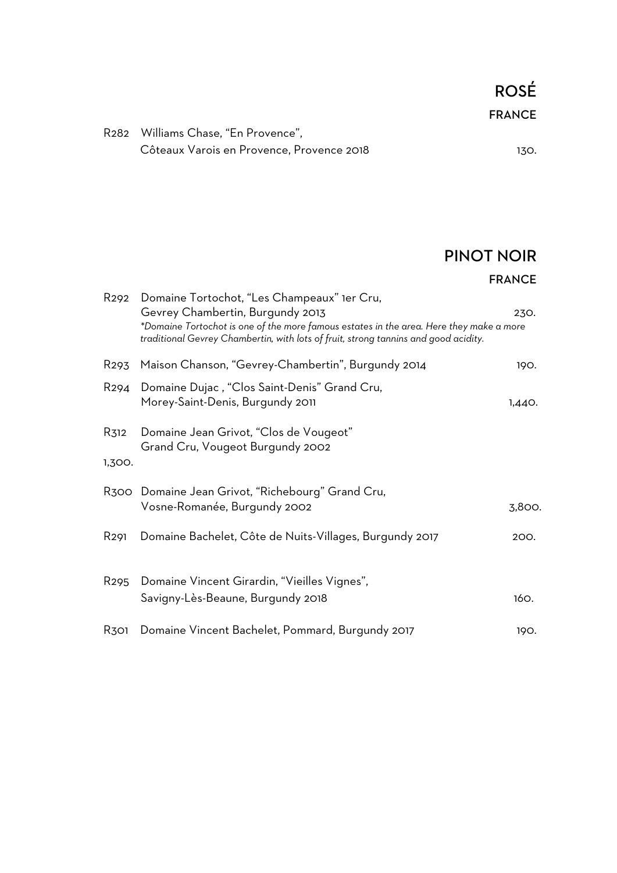ROSÉ FRANCE

## PINOT NOIR

#### FRANCE

| R <sub>292</sub> | Domaine Tortochot, "Les Champeaux" 1er Cru,<br>Gevrey Chambertin, Burgundy 2013<br>*Domaine Tortochot is one of the more famous estates in the area. Here they make a more<br>traditional Gevrey Chambertin, with lots of fruit, strong tannins and good acidity. | 230.   |
|------------------|-------------------------------------------------------------------------------------------------------------------------------------------------------------------------------------------------------------------------------------------------------------------|--------|
| R <sub>293</sub> | Maison Chanson, "Gevrey-Chambertin", Burgundy 2014                                                                                                                                                                                                                | 190.   |
| R <sub>294</sub> | Domaine Dujac, "Clos Saint-Denis" Grand Cru,<br>Morey-Saint-Denis, Burgundy 2011                                                                                                                                                                                  | 1,440. |
| R312<br>1,300.   | Domaine Jean Grivot, "Clos de Vougeot"<br>Grand Cru, Vougeot Burgundy 2002                                                                                                                                                                                        |        |
|                  | R300 Domaine Jean Grivot, "Richebourg" Grand Cru,<br>Vosne-Romanée, Burgundy 2002                                                                                                                                                                                 | 3,800. |
| R <sub>291</sub> | Domaine Bachelet, Côte de Nuits-Villages, Burgundy 2017                                                                                                                                                                                                           | 200.   |
| R <sub>295</sub> | Domaine Vincent Girardin, "Vieilles Vignes",<br>Savigny-Lès-Beaune, Burgundy 2018                                                                                                                                                                                 | 160.   |
| R301             | Domaine Vincent Bachelet, Pommard, Burgundy 2017                                                                                                                                                                                                                  | 190.   |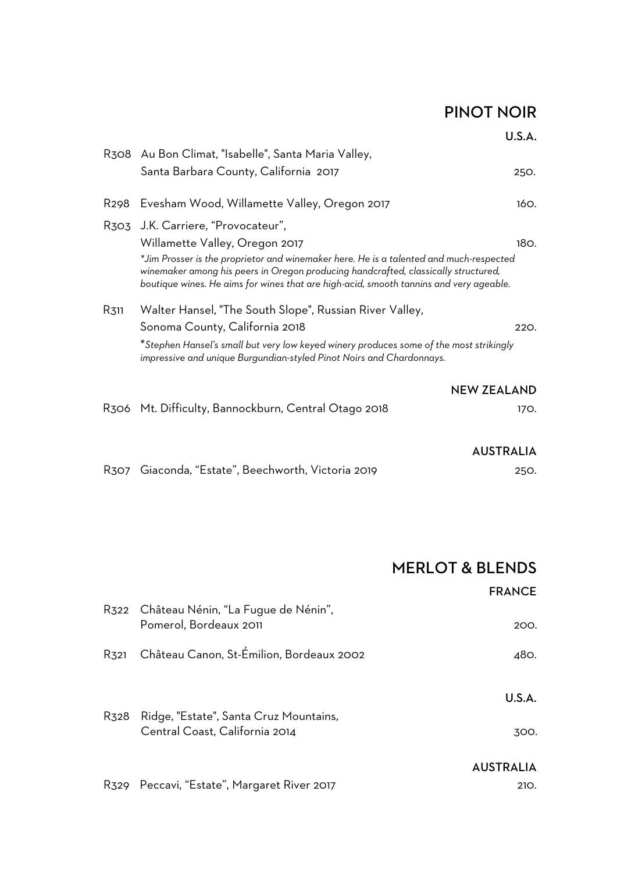## PINOT NOIR

U.S.A.

|                   | R308 Au Bon Climat, "Isabelle", Santa Maria Valley,                                                                                                                                                                                                                                                                                            |      |
|-------------------|------------------------------------------------------------------------------------------------------------------------------------------------------------------------------------------------------------------------------------------------------------------------------------------------------------------------------------------------|------|
|                   | Santa Barbara County, California 2017                                                                                                                                                                                                                                                                                                          | 250. |
| R <sub>29</sub> 8 | Evesham Wood, Willamette Valley, Oregon 2017                                                                                                                                                                                                                                                                                                   | 160. |
|                   | R303 J.K. Carriere, "Provocateur",<br>Willamette Valley, Oregon 2017<br>*Jim Prosser is the proprietor and winemaker here. He is a talented and much-respected<br>winemaker among his peers in Oregon producing handcrafted, classically structured,<br>boutique wines. He aims for wines that are high-acid, smooth tannins and very ageable. | 180. |
| R311              | Walter Hansel, "The South Slope", Russian River Valley,<br>Sonoma County, California 2018                                                                                                                                                                                                                                                      | 220. |
|                   | *Stephen Hansel's small but very low keyed winery produces some of the most strikingly<br>impressive and unique Burgundian-styled Pinot Noirs and Chardonnays.                                                                                                                                                                                 |      |
|                   | <b>NEW ZEALAND</b>                                                                                                                                                                                                                                                                                                                             |      |
|                   | R306   Mt. Difficulty, Bannockburn, Central Otago 2018                                                                                                                                                                                                                                                                                         | 170. |
|                   | <b>AUSTRALIA</b>                                                                                                                                                                                                                                                                                                                               |      |
| R307              | Giaconda, "Estate", Beechworth, Victoria 2019                                                                                                                                                                                                                                                                                                  | 250. |

|      |                                                                    | <b>MERLOT &amp; BLENDS</b> |
|------|--------------------------------------------------------------------|----------------------------|
|      |                                                                    | <b>FRANCE</b>              |
|      | R322 Château Nénin, "La Fugue de Nénin",<br>Pomerol, Bordeaux 2011 | 200.                       |
|      | R321 Château Canon, St-Émilion, Bordeaux 2002                      | 480.                       |
| R328 | Ridge, "Estate", Santa Cruz Mountains,                             | U.S.A.                     |
|      | Central Coast, California 2014                                     | 300.                       |
|      |                                                                    | <b>AUSTRALIA</b>           |
|      | R329 Peccavi, "Estate", Margaret River 2017                        | 210.                       |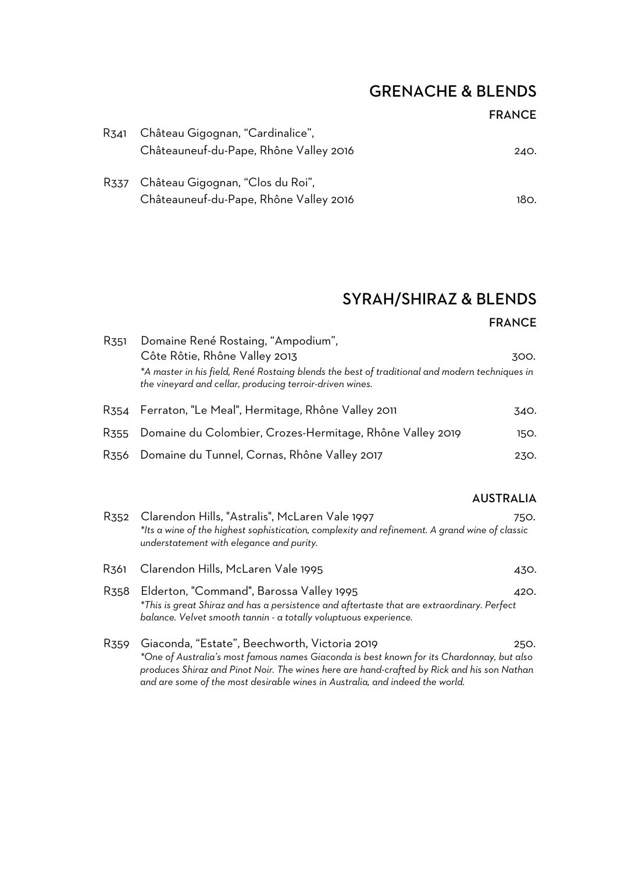## GRENACHE & BLENDS

#### FRANCE

| R341 | Château Gigognan, "Cardinalice",       |      |
|------|----------------------------------------|------|
|      | Châteauneuf-du-Pape, Rhône Valley 2016 | 240. |
|      | R337 Château Gigognan, "Clos du Roi",  |      |
|      | Châteauneuf-du-Pape, Rhône Valley 2016 | 180. |

## SYRAH/SHIRAZ & BLENDS

#### FRANCE

| R <sub>351</sub> | Domaine René Rostaing, "Ampodium",<br>Côte Rôtie, Rhône Valley 2013<br>*A master in his field, René Rostaing blends the best of traditional and modern techniques in<br>the vineyard and cellar, producing terroir-driven wines. | 300. |
|------------------|----------------------------------------------------------------------------------------------------------------------------------------------------------------------------------------------------------------------------------|------|
| R354             | Ferraton, "Le Meal", Hermitage, Rhône Valley 2011                                                                                                                                                                                | 340. |
| R355             | Domaine du Colombier, Crozes-Hermitage, Rhône Valley 2019                                                                                                                                                                        | 150. |
| R <sub>356</sub> | Domaine du Tunnel, Cornas, Rhône Valley 2017                                                                                                                                                                                     | 230. |

#### AUSTRALIA

| R <sub>352</sub> | Clarendon Hills, "Astralis", McLaren Vale 1997<br>*Its a wine of the highest sophistication, complexity and refinement. A grand wine of classic<br>understatement with elegance and purity.                                                                                                                              | 750. |
|------------------|--------------------------------------------------------------------------------------------------------------------------------------------------------------------------------------------------------------------------------------------------------------------------------------------------------------------------|------|
| R361             | Clarendon Hills, McLaren Vale 1995                                                                                                                                                                                                                                                                                       | 430. |
| R <sub>358</sub> | Elderton, "Command", Barossa Valley 1995<br>*This is great Shiraz and has a persistence and aftertaste that are extraordinary. Perfect<br>balance. Velvet smooth tannin - a totally voluptuous experience.                                                                                                               | 420. |
| R <sub>359</sub> | Giaconda, "Estate", Beechworth, Victoria 2019<br>*One of Australia's most famous names Giaconda is best known for its Chardonnay, but also<br>produces Shiraz and Pinot Noir. The wines here are hand-crafted by Rick and his son Nathan<br>and are some of the most desirable wines in Australia, and indeed the world. | 250. |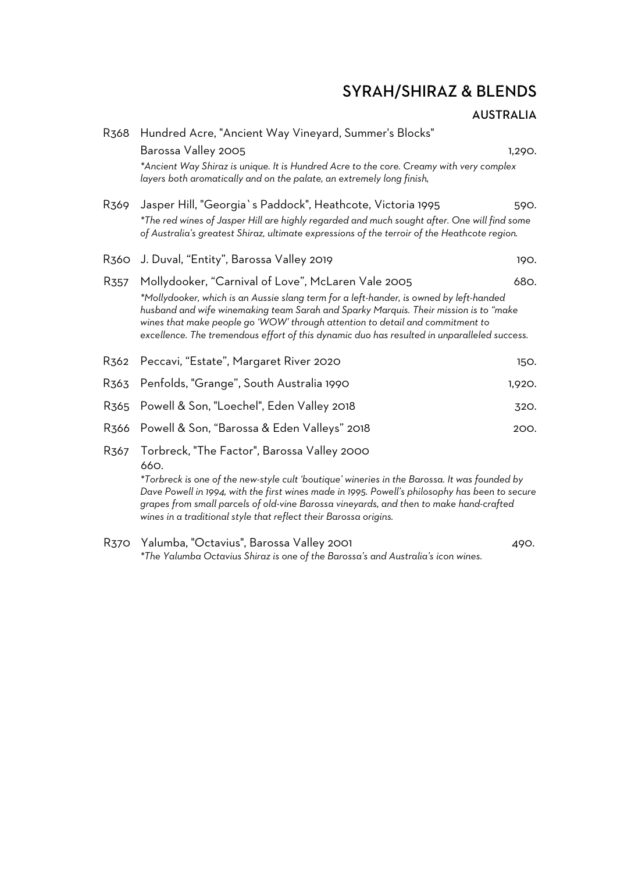## SYRAH/SHIRAZ & BLENDS

| R368             | Hundred Acre, "Ancient Way Vineyard, Summer's Blocks"                                                                                                                                                                                                                                                                                                          |        |
|------------------|----------------------------------------------------------------------------------------------------------------------------------------------------------------------------------------------------------------------------------------------------------------------------------------------------------------------------------------------------------------|--------|
|                  | Barossa Valley 2005                                                                                                                                                                                                                                                                                                                                            | 1,290. |
|                  | *Ancient Way Shiraz is unique. It is Hundred Acre to the core. Creamy with very complex<br>layers both aromatically and on the palate, an extremely long finish,                                                                                                                                                                                               |        |
| R369             | Jasper Hill, "Georgia's Paddock", Heathcote, Victoria 1995                                                                                                                                                                                                                                                                                                     | 590.   |
|                  | *The red wines of Jasper Hill are highly regarded and much sought after. One will find some<br>of Australia's greatest Shiraz, ultimate expressions of the terroir of the Heathcote region.                                                                                                                                                                    |        |
| R360             | J. Duval, "Entity", Barossa Valley 2019                                                                                                                                                                                                                                                                                                                        | 190.   |
| R <sub>357</sub> | Mollydooker, "Carnival of Love", McLaren Vale 2005                                                                                                                                                                                                                                                                                                             | 680.   |
|                  | *Mollydooker, which is an Aussie slang term for a left-hander, is owned by left-handed<br>husband and wife winemaking team Sarah and Sparky Marquis. Their mission is to "make<br>wines that make people go 'WOW' through attention to detail and commitment to<br>excellence. The tremendous effort of this dynamic duo has resulted in unparalleled success. |        |
| R362             | Peccavi, "Estate", Margaret River 2020                                                                                                                                                                                                                                                                                                                         | 150.   |
| R363             | Penfolds, "Grange", South Australia 1990                                                                                                                                                                                                                                                                                                                       | 1,920. |
| R <sub>365</sub> | Powell & Son, "Loechel", Eden Valley 2018                                                                                                                                                                                                                                                                                                                      | 320.   |
| R <sub>366</sub> | Powell & Son, "Barossa & Eden Valleys" 2018                                                                                                                                                                                                                                                                                                                    | 200.   |
| R <sub>367</sub> | Torbreck, "The Factor", Barossa Valley 2000<br>660.                                                                                                                                                                                                                                                                                                            |        |
|                  | *Torbreck is one of the new-style cult 'boutique' wineries in the Barossa. It was founded by<br>Dave Powell in 1994, with the first wines made in 1995. Powell's philosophy has been to secure<br>grapes from small parcels of old-vine Barossa vineyards, and then to make hand-crafted<br>wines in a traditional style that reflect their Barossa origins.   |        |
| <b>R370</b>      | Yalumba, "Octavius", Barossa Valley 2001<br>*The Yalumba Octavius Shiraz is one of the Barossa's and Australia's icon wines.                                                                                                                                                                                                                                   | 490.   |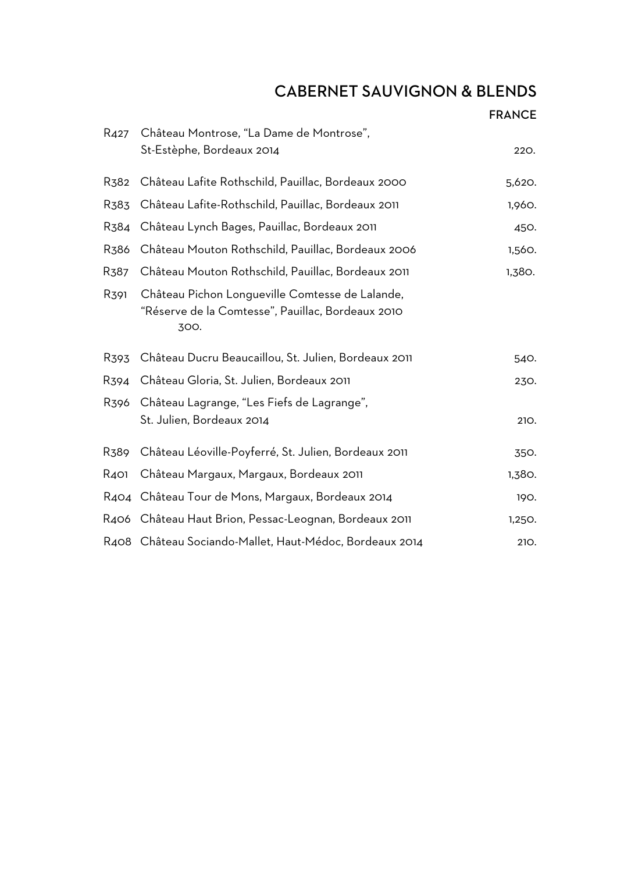## CABERNET SAUVIGNON & BLENDS

|                   |                                                                                                              | <b>FRANCE</b> |
|-------------------|--------------------------------------------------------------------------------------------------------------|---------------|
| R <sub>427</sub>  | Château Montrose, "La Dame de Montrose",                                                                     |               |
|                   | St-Estèphe, Bordeaux 2014                                                                                    | 220.          |
| R <sub>3</sub> 82 | Château Lafite Rothschild, Pauillac, Bordeaux 2000                                                           | 5,620.        |
| R383              | Château Lafite-Rothschild, Pauillac, Bordeaux 2011                                                           | 1,960.        |
| R <sub>3</sub> 84 | Château Lynch Bages, Pauillac, Bordeaux 2011                                                                 | 450.          |
| R <sub>3</sub> 86 | Château Mouton Rothschild, Pauillac, Bordeaux 2006                                                           | 1,560.        |
| R387              | Château Mouton Rothschild, Pauillac, Bordeaux 2011                                                           | 1,380.        |
| R391              | Château Pichon Longueville Comtesse de Lalande,<br>"Réserve de la Comtesse", Pauillac, Bordeaux 2010<br>300. |               |
| R <sub>393</sub>  | Château Ducru Beaucaillou, St. Julien, Bordeaux 2011                                                         | 540.          |
| R394              | Château Gloria, St. Julien, Bordeaux 2011                                                                    | 230.          |
| R396              | Château Lagrange, "Les Fiefs de Lagrange",                                                                   |               |
|                   | St. Julien, Bordeaux 2014                                                                                    | 210.          |
| R389              | Château Léoville-Poyferré, St. Julien, Bordeaux 2011                                                         | 350.          |
| R401              | Château Margaux, Margaux, Bordeaux 2011                                                                      | 1,380.        |
|                   | R404 Château Tour de Mons, Margaux, Bordeaux 2014                                                            | 190.          |
|                   | R406 Château Haut Brion, Pessac-Leognan, Bordeaux 2011                                                       | 1,250.        |
|                   | R408 Château Sociando-Mallet, Haut-Médoc, Bordeaux 2014                                                      | 210.          |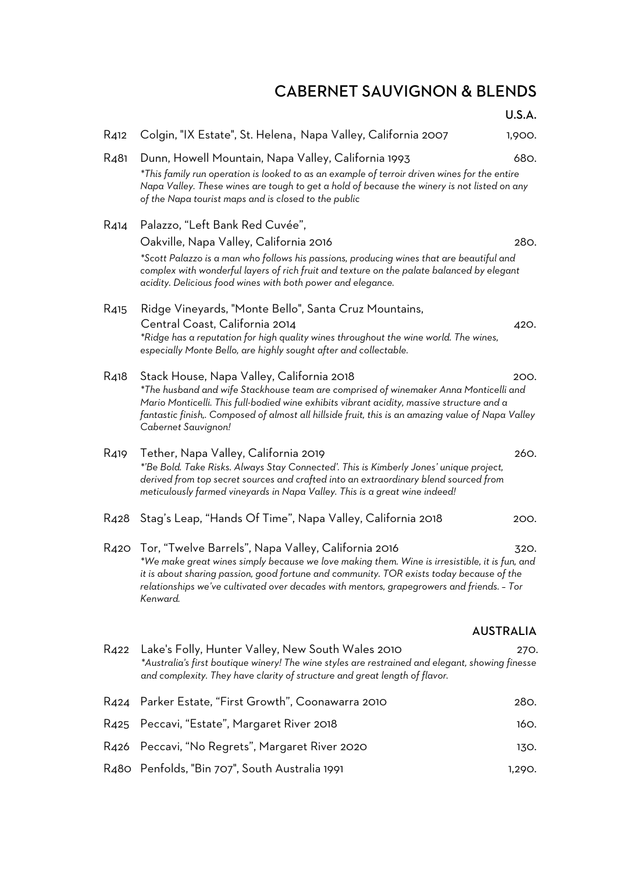## CABERNET SAUVIGNON & BLENDS

U.S.A.

| R <sub>4</sub> 12 | Colgin, "IX Estate", St. Helena, Napa Valley, California 2007                                                                                                                                                                                                                                                                                              | 1,900.           |
|-------------------|------------------------------------------------------------------------------------------------------------------------------------------------------------------------------------------------------------------------------------------------------------------------------------------------------------------------------------------------------------|------------------|
| R <sub>4</sub> 81 | Dunn, Howell Mountain, Napa Valley, California 1993<br>*This family run operation is looked to as an example of terroir driven wines for the entire<br>Napa Valley. These wines are tough to get a hold of because the winery is not listed on any<br>of the Napa tourist maps and is closed to the public                                                 | 680.             |
| R414              | Palazzo, "Left Bank Red Cuvée",<br>Oakville, Napa Valley, California 2016<br>*Scott Palazzo is a man who follows his passions, producing wines that are beautiful and<br>complex with wonderful layers of rich fruit and texture on the palate balanced by elegant<br>acidity. Delicious food wines with both power and elegance.                          | 280.             |
| R <sub>4</sub> 15 | Ridge Vineyards, "Monte Bello", Santa Cruz Mountains,<br>Central Coast, California 2014<br>*Ridge has a reputation for high quality wines throughout the wine world. The wines,<br>especially Monte Bello, are highly sought after and collectable.                                                                                                        | 420.             |
| R418              | Stack House, Napa Valley, California 2018<br>*The husband and wife Stackhouse team are comprised of winemaker Anna Monticelli and<br>Mario Monticelli. This full-bodied wine exhibits vibrant acidity, massive structure and a<br>fantastic finish,. Composed of almost all hillside fruit, this is an amazing value of Napa Valley<br>Cabernet Sauvignon! | 200.             |
| R419              | Tether, Napa Valley, California 2019<br>*'Be Bold. Take Risks. Always Stay Connected'. This is Kimberly Jones' unique project,<br>derived from top secret sources and crafted into an extraordinary blend sourced from<br>meticulously farmed vineyards in Napa Valley. This is a great wine indeed!                                                       | 260.             |
| R <sub>42</sub> 8 | Stag's Leap, "Hands Of Time", Napa Valley, California 2018                                                                                                                                                                                                                                                                                                 | 200.             |
| R420              | Tor, "Twelve Barrels", Napa Valley, California 2016<br>*We make great wines simply because we love making them. Wine is irresistible, it is fun, and<br>it is about sharing passion, good fortune and community. TOR exists today because of the<br>relationships we've cultivated over decades with mentors, grapegrowers and friends. - Tor<br>Kenward.  | 320.             |
|                   |                                                                                                                                                                                                                                                                                                                                                            | <b>AUSTRALIA</b> |
| R422              | Lake's Folly, Hunter Valley, New South Wales 2010<br>*Australia's first boutique winery! The wine styles are restrained and elegant, showing finesse<br>and complexity. They have clarity of structure and great length of flavor.                                                                                                                         | 270.             |
| R424              | Parker Estate, "First Growth", Coonawarra 2010                                                                                                                                                                                                                                                                                                             | 280.             |
| R <sub>425</sub>  | Peccavi, "Estate", Margaret River 2018                                                                                                                                                                                                                                                                                                                     | 160.             |
| R426              | Peccavi, "No Regrets", Margaret River 2020                                                                                                                                                                                                                                                                                                                 | 130.             |
|                   | R480 Penfolds, "Bin 707", South Australia 1991                                                                                                                                                                                                                                                                                                             | 1,290.           |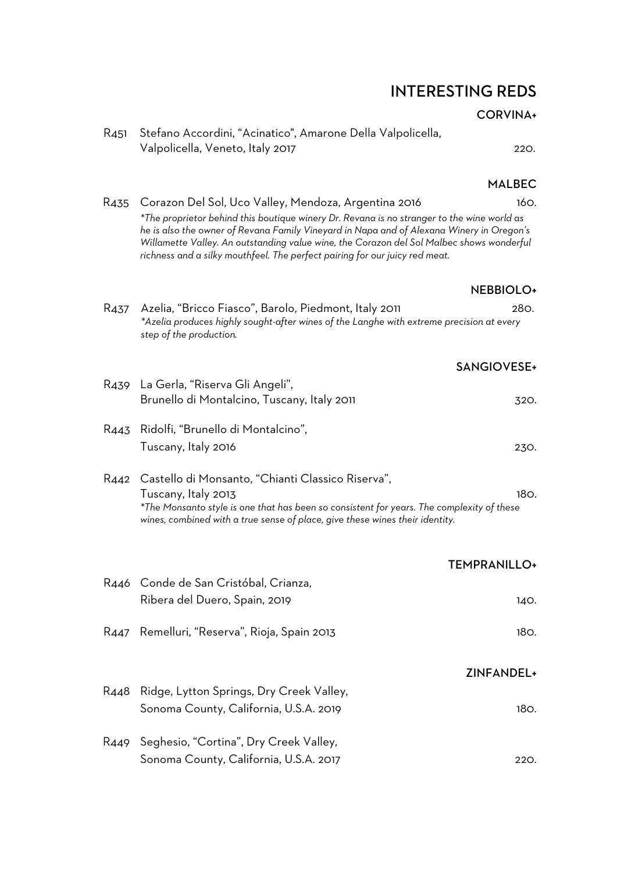## INTERESTING REDS

#### CORVINA+

| R451 Stefano Accordini, "Acinatico", Amarone Della Valpolicella, |      |
|------------------------------------------------------------------|------|
| Valpolicella, Veneto, Italy 2017                                 | 220. |

#### MALBEC

| R435 | Corazon Del Sol, Uco Valley, Mendoza, Argentina 2016<br>*The proprietor behind this boutique winery Dr. Revana is no stranger to the wine world as<br>he is also the owner of Revana Family Vineyard in Napa and of Alexana Winery in Oregon's<br>Willamette Valley. An outstanding value wine, the Corazon del Sol Malbec shows wonderful<br>richness and a silky mouthfeel. The perfect pairing for our juicy red meat. | 160.                |
|------|---------------------------------------------------------------------------------------------------------------------------------------------------------------------------------------------------------------------------------------------------------------------------------------------------------------------------------------------------------------------------------------------------------------------------|---------------------|
|      |                                                                                                                                                                                                                                                                                                                                                                                                                           |                     |
|      |                                                                                                                                                                                                                                                                                                                                                                                                                           | <b>NEBBIOLO+</b>    |
|      |                                                                                                                                                                                                                                                                                                                                                                                                                           |                     |
| R437 | Azelia, "Bricco Fiasco", Barolo, Piedmont, Italy 2011<br>*Azelia produces highly sought-after wines of the Langhe with extreme precision at every<br>step of the production.                                                                                                                                                                                                                                              | 280.                |
|      |                                                                                                                                                                                                                                                                                                                                                                                                                           | SANGIOVESE+         |
|      | R439 La Gerla, "Riserva Gli Angeli",                                                                                                                                                                                                                                                                                                                                                                                      |                     |
|      | Brunello di Montalcino, Tuscany, Italy 2011                                                                                                                                                                                                                                                                                                                                                                               | 320.                |
| R443 | Ridolfi, "Brunello di Montalcino",                                                                                                                                                                                                                                                                                                                                                                                        |                     |
|      | Tuscany, Italy 2016                                                                                                                                                                                                                                                                                                                                                                                                       | 230.                |
|      |                                                                                                                                                                                                                                                                                                                                                                                                                           |                     |
|      | R442 Castello di Monsanto, "Chianti Classico Riserva",                                                                                                                                                                                                                                                                                                                                                                    |                     |
|      | Tuscany, Italy 2013<br>*The Monsanto style is one that has been so consistent for years. The complexity of these<br>wines, combined with a true sense of place, give these wines their identity.                                                                                                                                                                                                                          | 180.                |
|      |                                                                                                                                                                                                                                                                                                                                                                                                                           | <b>TEMPRANILLO+</b> |
|      | R446 Conde de San Cristóbal, Crianza,                                                                                                                                                                                                                                                                                                                                                                                     |                     |
|      | Ribera del Duero, Spain, 2019                                                                                                                                                                                                                                                                                                                                                                                             | 140.                |
|      |                                                                                                                                                                                                                                                                                                                                                                                                                           |                     |
| R447 | Remelluri, "Reserva", Rioja, Spain 2013                                                                                                                                                                                                                                                                                                                                                                                   | 180.                |
|      |                                                                                                                                                                                                                                                                                                                                                                                                                           | ZINFANDEL+          |
|      |                                                                                                                                                                                                                                                                                                                                                                                                                           |                     |
| R448 | Ridge, Lytton Springs, Dry Creek Valley,                                                                                                                                                                                                                                                                                                                                                                                  |                     |
|      | Sonoma County, California, U.S.A. 2019                                                                                                                                                                                                                                                                                                                                                                                    | 180.                |
| R449 | Seghesio, "Cortina", Dry Creek Valley,                                                                                                                                                                                                                                                                                                                                                                                    |                     |
|      | Sonoma County, California, U.S.A. 2017                                                                                                                                                                                                                                                                                                                                                                                    | 220.                |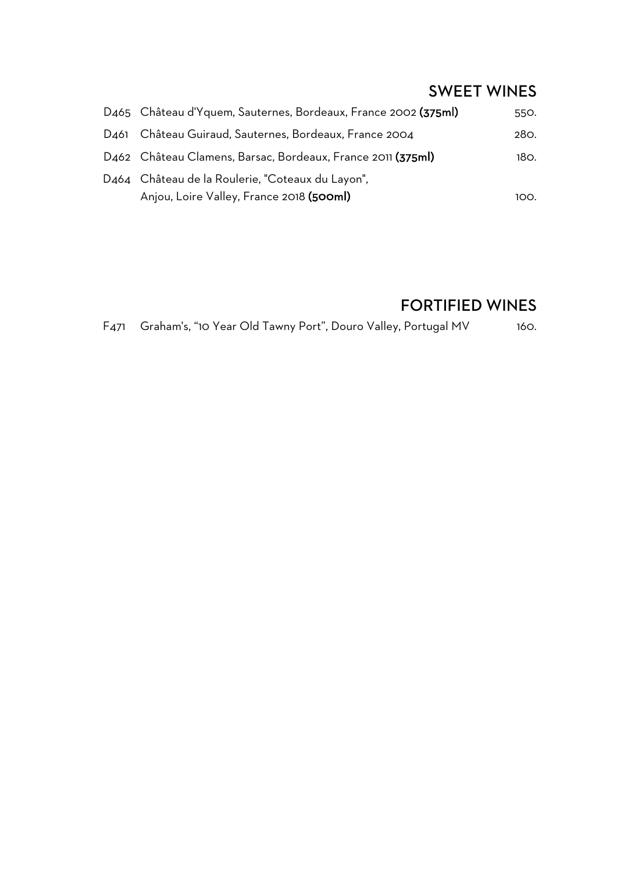## SWEET WINES

| D465 Château d'Yquem, Sauternes, Bordeaux, France 2002 (375ml)                               | 550. |
|----------------------------------------------------------------------------------------------|------|
| D461 Château Guiraud, Sauternes, Bordeaux, France 2004                                       | 280. |
| D462 Château Clamens, Barsac, Bordeaux, France 2011 (375ml)                                  | 180. |
| D464 Château de la Roulerie, "Coteaux du Layon",<br>Anjou, Loire Valley, France 2018 (500ml) | 100. |

## FORTIFIED WINES

F471 Graham's, "10 Year Old Tawny Port", Douro Valley, Portugal MV 160.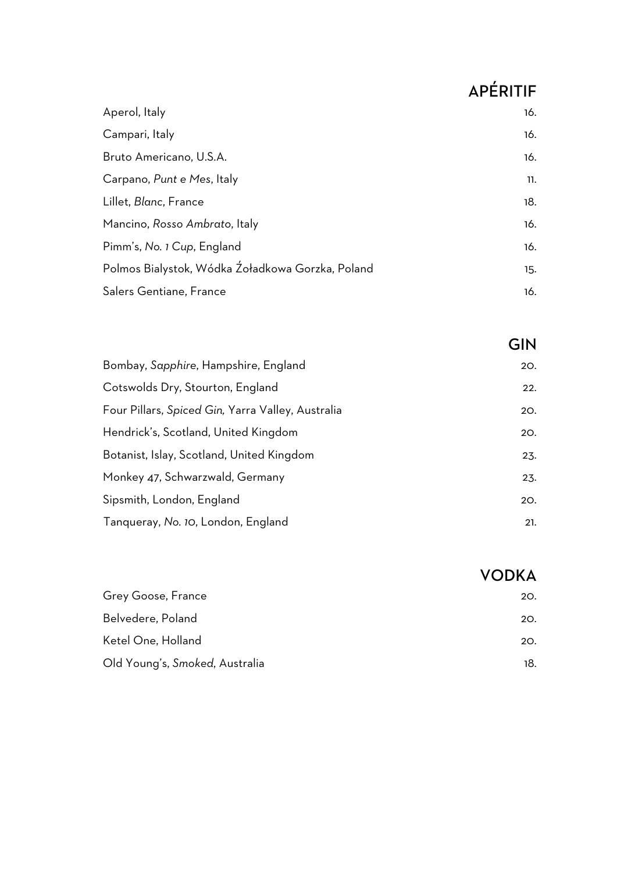# APÉRITIF

VODKA

| Aperol, Italy                                    | 16. |
|--------------------------------------------------|-----|
| Campari, Italy                                   | 16. |
| Bruto Americano, U.S.A.                          | 16. |
| Carpano, Punt e Mes, Italy                       | 11. |
| Lillet, Blanc, France                            | 18. |
| Mancino, Rosso Ambrato, Italy                    | 16. |
| Pimm's, No. 1 Cup, England                       | 16. |
| Polmos Bialystok, Wódka Źoładkowa Gorzka, Poland | 15. |
| Salers Gentiane, France                          | 16. |

|                                                   | GIN |
|---------------------------------------------------|-----|
| Bombay, Sapphire, Hampshire, England              | 20. |
| Cotswolds Dry, Stourton, England                  | 22. |
| Four Pillars, Spiced Gin, Yarra Valley, Australia | 20. |
| Hendrick's, Scotland, United Kingdom              | 20. |
| Botanist, Islay, Scotland, United Kingdom         | 23. |
| Monkey 47, Schwarzwald, Germany                   | 23. |
| Sipsmith, London, England                         | 20. |
| Tanqueray, No. 10, London, England                | 21. |

| Grey Goose, France             | 20. |
|--------------------------------|-----|
| Belvedere, Poland              | 20. |
| Ketel One, Holland             | 20. |
| Old Young's, Smoked, Australia | 18. |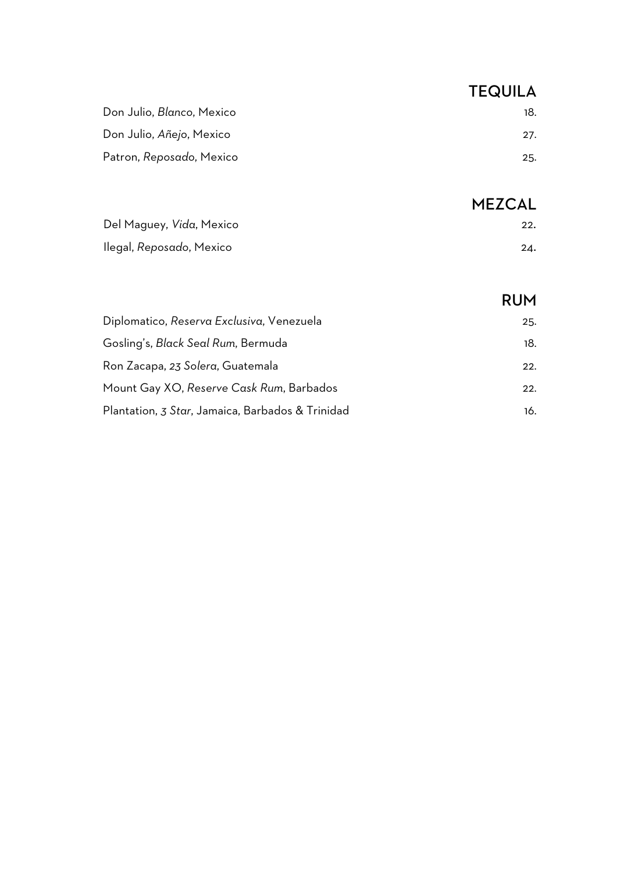| <b>TEQUILA</b> |
|----------------|
| 18.            |
| 27.            |
| 25.            |
|                |

## MEZCAL

|                                  | 1 ILLVAL |
|----------------------------------|----------|
| Del Maguey, <i>Vid</i> a, Mexico | 22.      |
| llegal, Reposαdo, Mexico         | 24.      |

|                                                  | <b>RUM</b> |
|--------------------------------------------------|------------|
| Diplomatico, Reserva Exclusiva, Venezuela        | 25.        |
| Gosling's, Black Seal Rum, Bermuda               | 18.        |
| Ron Zacapa, 23 Solera, Guatemala                 | 22.        |
| Mount Gay XO, Reserve Cask Rum, Barbados         | 22.        |
| Plantation, 3 Star, Jamaica, Barbados & Trinidad | 16.        |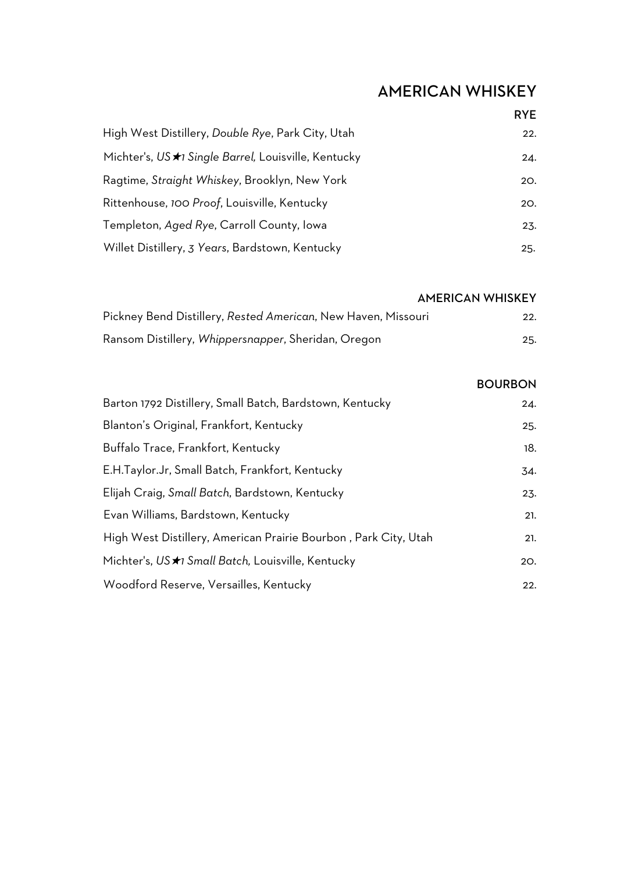# AMERICAN WHISKEY

|                                                      | <b>RYE</b> |
|------------------------------------------------------|------------|
| High West Distillery, Double Rye, Park City, Utah    | 22.        |
| Michter's, US *1 Single Barrel, Louisville, Kentucky | 24.        |
| Ragtime, Straight Whiskey, Brooklyn, New York        | 20.        |
| Rittenhouse, 100 Proof, Louisville, Kentucky         | 20.        |
| Templeton, Aged Rye, Carroll County, Iowa            | 23.        |
| Willet Distillery, 3 Years, Bardstown, Kentucky      | 25.        |

|                                                               | <b>AMERICAN WHISKEY</b> |
|---------------------------------------------------------------|-------------------------|
| Pickney Bend Distillery, Rested American, New Haven, Missouri | 22.                     |
| Ransom Distillery, Whippersnapper, Sheridan, Oregon           | 25.                     |

|                                                                 | <b>BOURBON</b> |
|-----------------------------------------------------------------|----------------|
| Barton 1792 Distillery, Small Batch, Bardstown, Kentucky        | 24.            |
| Blanton's Original, Frankfort, Kentucky                         | 25.            |
| Buffalo Trace, Frankfort, Kentucky                              | 18.            |
| E.H.Taylor.Jr, Small Batch, Frankfort, Kentucky                 | 34.            |
| Elijah Craig, Small Batch, Bardstown, Kentucky                  | 23.            |
| Evan Williams, Bardstown, Kentucky                              | 21.            |
| High West Distillery, American Prairie Bourbon, Park City, Utah | 21.            |
| Michter's, US ★1 Small Batch, Louisville, Kentucky              | 20.            |
| Woodford Reserve, Versailles, Kentucky                          | 22.            |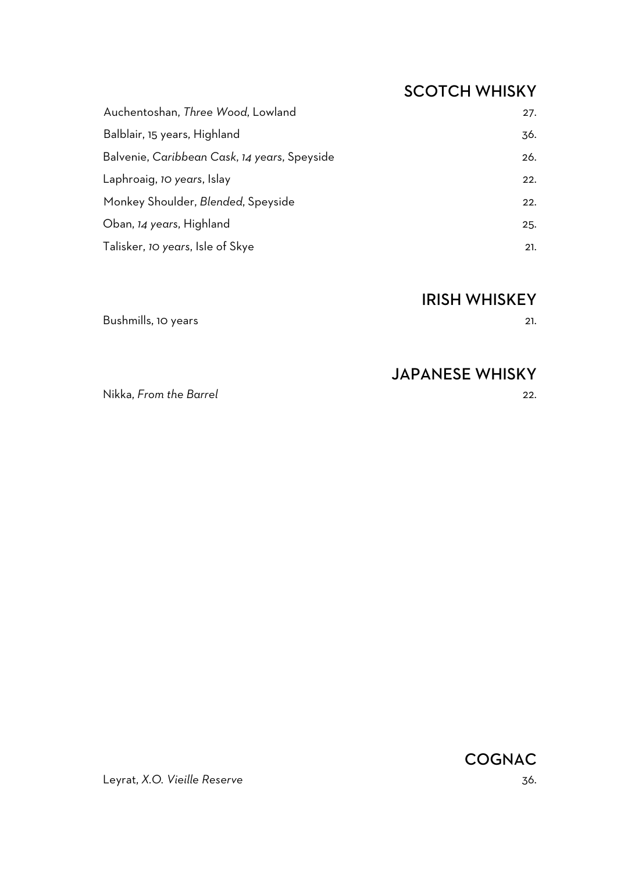## SCOTCH WHISKY

| Auchentoshan, Three Wood, Lowland            | 27. |
|----------------------------------------------|-----|
| Balblair, 15 years, Highland                 | 36. |
| Balvenie, Caribbean Cask, 14 years, Speyside | 26. |
| Laphroaig, 10 years, Islay                   | 22. |
| Monkey Shoulder, Blended, Speyside           | 22. |
| Oban, 14 years, Highland                     | 25. |
| Talisker, 10 years, Isle of Skye             | 21. |

#### IRISH WHISKEY

Bushmills, 10 years 21.

#### JAPANESE WHISKY

Nikka, *From the Barrel* 22.